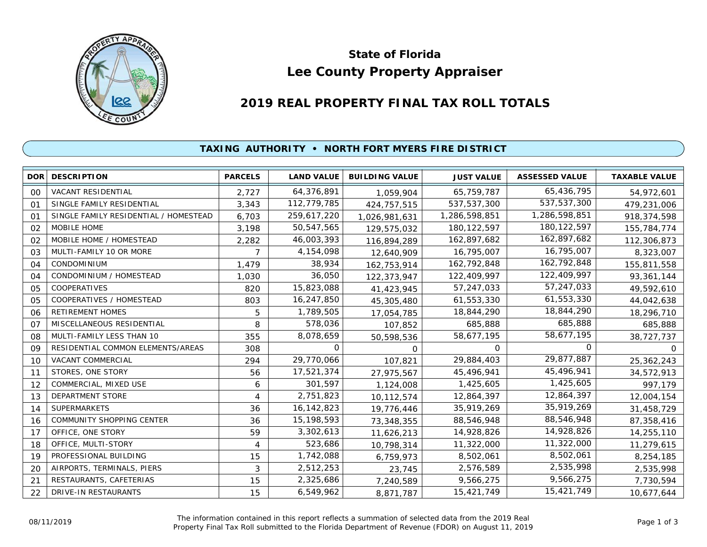

# **Lee County Property Appraiser State of Florida**

# **2019 REAL PROPERTY FINAL TAX ROLL TOTALS**

## **TAXING AUTHORITY • NORTH FORT MYERS FIRE DISTRICT**

| <b>DOR</b>     | <b>DESCRIPTION</b>                    | <b>PARCELS</b> | <b>LAND VALUE</b> | <b>BUILDING VALUE</b> | <b>JUST VALUE</b> | <b>ASSESSED VALUE</b> | <b>TAXABLE VALUE</b> |
|----------------|---------------------------------------|----------------|-------------------|-----------------------|-------------------|-----------------------|----------------------|
| 00             | VACANT RESIDENTIAL                    | 2,727          | 64,376,891        | 1,059,904             | 65,759,787        | 65,436,795            | 54,972,601           |
| O <sub>1</sub> | SINGLE FAMILY RESIDENTIAL             | 3,343          | 112,779,785       | 424,757,515           | 537,537,300       | 537,537,300           | 479,231,006          |
| 01             | SINGLE FAMILY RESIDENTIAL / HOMESTEAD | 6,703          | 259,617,220       | 1,026,981,631         | 1,286,598,851     | 1,286,598,851         | 918,374,598          |
| 02             | MOBILE HOME                           | 3,198          | 50,547,565        | 129,575,032           | 180, 122, 597     | 180, 122, 597         | 155,784,774          |
| 02             | MOBILE HOME / HOMESTEAD               | 2,282          | 46,003,393        | 116,894,289           | 162,897,682       | 162,897,682           | 112,306,873          |
| 03             | MULTI-FAMILY 10 OR MORE               | 7              | 4,154,098         | 12,640,909            | 16,795,007        | 16,795,007            | 8,323,007            |
| 04             | <b>CONDOMINIUM</b>                    | 1,479          | 38,934            | 162,753,914           | 162,792,848       | 162,792,848           | 155,811,558          |
| 04             | CONDOMINIUM / HOMESTEAD               | 1,030          | 36,050            | 122,373,947           | 122,409,997       | 122,409,997           | 93,361,144           |
| 05             | COOPERATIVES                          | 820            | 15,823,088        | 41,423,945            | 57,247,033        | 57,247,033            | 49,592,610           |
| 05             | COOPERATIVES / HOMESTEAD              | 803            | 16,247,850        | 45,305,480            | 61,553,330        | 61,553,330            | 44,042,638           |
| 06             | <b>RETIREMENT HOMES</b>               | 5              | 1,789,505         | 17,054,785            | 18,844,290        | 18,844,290            | 18,296,710           |
| 07             | MISCELLANEOUS RESIDENTIAL             | 8              | 578,036           | 107,852               | 685,888           | 685,888               | 685,888              |
| 08             | MULTI-FAMILY LESS THAN 10             | 355            | 8,078,659         | 50,598,536            | 58,677,195        | 58,677,195            | 38,727,737           |
| 09             | RESIDENTIAL COMMON ELEMENTS/AREAS     | 308            | 0                 | $\Omega$              | $\Omega$          | $\Omega$              | $\Omega$             |
| 10             | <b>VACANT COMMERCIAL</b>              | 294            | 29,770,066        | 107,821               | 29,884,403        | 29,877,887            | 25,362,243           |
| 11             | STORES, ONE STORY                     | 56             | 17,521,374        | 27,975,567            | 45,496,941        | 45,496,941            | 34,572,913           |
| 12             | COMMERCIAL, MIXED USE                 | 6              | 301,597           | 1,124,008             | 1,425,605         | 1,425,605             | 997,179              |
| 13             | <b>DEPARTMENT STORE</b>               | 4              | 2,751,823         | 10,112,574            | 12,864,397        | 12,864,397            | 12,004,154           |
| 14             | <b>SUPERMARKETS</b>                   | 36             | 16, 142, 823      | 19,776,446            | 35,919,269        | 35,919,269            | 31,458,729           |
| 16             | COMMUNITY SHOPPING CENTER             | 36             | 15,198,593        | 73,348,355            | 88,546,948        | 88,546,948            | 87,358,416           |
| 17             | OFFICE, ONE STORY                     | 59             | 3,302,613         | 11,626,213            | 14,928,826        | 14,928,826            | 14,255,110           |
| 18             | OFFICE, MULTI-STORY                   | 4              | 523,686           | 10,798,314            | 11,322,000        | 11,322,000            | 11,279,615           |
| 19             | PROFESSIONAL BUILDING                 | 15             | 1,742,088         | 6,759,973             | 8,502,061         | 8,502,061             | 8,254,185            |
| 20             | AIRPORTS, TERMINALS, PIERS            | 3              | 2,512,253         | 23,745                | 2,576,589         | 2,535,998             | 2,535,998            |
| 21             | RESTAURANTS, CAFETERIAS               | 15             | 2,325,686         | 7,240,589             | 9,566,275         | 9,566,275             | 7,730,594            |
| 22             | DRIVE-IN RESTAURANTS                  | 15             | 6,549,962         | 8,871,787             | 15,421,749        | 15,421,749            | 10,677,644           |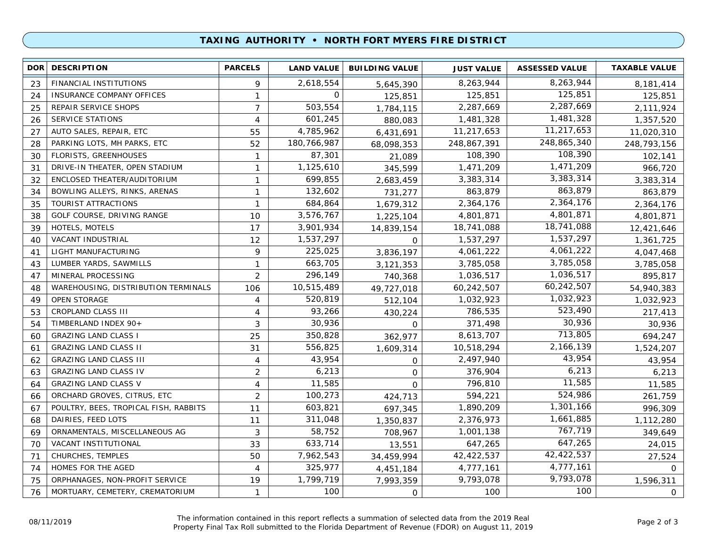### **TAXING AUTHORITY • NORTH FORT MYERS FIRE DISTRICT**

| <b>DOR</b> | <b>DESCRIPTION</b>                    | <b>PARCELS</b> | <b>LAND VALUE</b> | <b>BUILDING VALUE</b> | <b>JUST VALUE</b> | <b>ASSESSED VALUE</b> | <b>TAXABLE VALUE</b> |
|------------|---------------------------------------|----------------|-------------------|-----------------------|-------------------|-----------------------|----------------------|
| 23         | FINANCIAL INSTITUTIONS                | 9              | 2,618,554         | 5,645,390             | 8,263,944         | 8,263,944             | 8,181,414            |
| 24         | INSURANCE COMPANY OFFICES             | $\mathbf{1}$   | $\mathbf{O}$      | 125,851               | 125,851           | 125,851               | 125,851              |
| 25         | REPAIR SERVICE SHOPS                  | $\overline{7}$ | 503,554           | 1,784,115             | 2,287,669         | 2,287,669             | 2,111,924            |
| 26         | <b>SERVICE STATIONS</b>               | $\overline{4}$ | 601,245           | 880,083               | 1,481,328         | 1,481,328             | 1,357,520            |
| 27         | AUTO SALES, REPAIR, ETC               | 55             | 4,785,962         | 6,431,691             | 11,217,653        | 11,217,653            | 11,020,310           |
| 28         | PARKING LOTS, MH PARKS, ETC           | 52             | 180,766,987       | 68,098,353            | 248,867,391       | 248,865,340           | 248,793,156          |
| 30         | <b>FLORISTS, GREENHOUSES</b>          | $\mathbf{1}$   | 87,301            | 21,089                | 108,390           | 108,390               | 102,141              |
| 31         | DRIVE-IN THEATER, OPEN STADIUM        | $\mathbf{1}$   | 1,125,610         | 345,599               | 1,471,209         | 1,471,209             | 966,720              |
| 32         | ENCLOSED THEATER/AUDITORIUM           | $\mathbf{1}$   | 699,855           | 2,683,459             | 3,383,314         | 3,383,314             | 3,383,314            |
| 34         | BOWLING ALLEYS, RINKS, ARENAS         | $\mathbf{1}$   | 132,602           | 731,277               | 863,879           | 863,879               | 863,879              |
| 35         | TOURIST ATTRACTIONS                   | $\mathbf{1}$   | 684,864           | 1,679,312             | 2,364,176         | 2,364,176             | 2,364,176            |
| 38         | GOLF COURSE, DRIVING RANGE            | 10             | 3,576,767         | 1,225,104             | 4,801,871         | 4,801,871             | 4,801,871            |
| 39         | <b>HOTELS, MOTELS</b>                 | 17             | 3,901,934         | 14,839,154            | 18,741,088        | 18,741,088            | 12,421,646           |
| 40         | VACANT INDUSTRIAL                     | 12             | 1,537,297         | $\Omega$              | 1,537,297         | 1,537,297             | 1,361,725            |
| 41         | LIGHT MANUFACTURING                   | 9              | 225,025           | 3,836,197             | 4,061,222         | 4,061,222             | 4,047,468            |
| 43         | LUMBER YARDS, SAWMILLS                | $\mathbf{1}$   | 663,705           | 3,121,353             | 3,785,058         | 3,785,058             | 3,785,058            |
| 47         | MINERAL PROCESSING                    | $\overline{2}$ | 296,149           | 740,368               | 1,036,517         | 1,036,517             | 895,817              |
| 48         | WAREHOUSING, DISTRIBUTION TERMINALS   | 106            | 10,515,489        | 49,727,018            | 60,242,507        | 60,242,507            | 54,940,383           |
| 49         | OPEN STORAGE                          | 4              | 520,819           | 512,104               | 1,032,923         | 1,032,923             | 1,032,923            |
| 53         | CROPLAND CLASS III                    | 4              | 93,266            | 430,224               | 786,535           | 523,490               | 217,413              |
| 54         | TIMBERLAND INDEX 90+                  | 3              | 30,936            | $\Omega$              | 371,498           | 30,936                | 30,936               |
| 60         | <b>GRAZING LAND CLASS I</b>           | 25             | 350,828           | 362,977               | 8,613,707         | 713,805               | 694,247              |
| 61         | <b>GRAZING LAND CLASS II</b>          | 31             | 556,825           | 1,609,314             | 10,518,294        | 2,166,139             | 1,524,207            |
| 62         | <b>GRAZING LAND CLASS III</b>         | 4              | 43,954            | $\mathbf 0$           | 2,497,940         | 43,954                | 43,954               |
| 63         | <b>GRAZING LAND CLASS IV</b>          | $\overline{2}$ | 6,213             | $\mathsf{O}$          | 376,904           | 6,213                 | 6,213                |
| 64         | <b>GRAZING LAND CLASS V</b>           | 4              | 11,585            | $\Omega$              | 796,810           | 11,585                | 11,585               |
| 66         | ORCHARD GROVES, CITRUS, ETC           | 2              | 100,273           | 424,713               | 594,221           | 524,986               | 261,759              |
| 67         | POULTRY, BEES, TROPICAL FISH, RABBITS | 11             | 603,821           | 697,345               | 1,890,209         | 1,301,166             | 996,309              |
| 68         | DAIRIES, FEED LOTS                    | 11             | 311,048           | 1,350,837             | 2,376,973         | 1,661,885             | 1,112,280            |
| 69         | ORNAMENTALS, MISCELLANEOUS AG         | 3              | 58,752            | 708,967               | 1,001,138         | 767,719               | 349,649              |
| 70         | VACANT INSTITUTIONAL                  | 33             | 633,714           | 13,551                | 647,265           | 647,265               | 24,015               |
| 71         | CHURCHES, TEMPLES                     | 50             | 7,962,543         | 34,459,994            | 42,422,537        | 42,422,537            | 27,524               |
| 74         | HOMES FOR THE AGED                    | $\overline{4}$ | 325,977           | 4,451,184             | 4,777,161         | 4,777,161             | $\Omega$             |
| 75         | ORPHANAGES, NON-PROFIT SERVICE        | 19             | 1,799,719         | 7,993,359             | 9,793,078         | 9,793,078             | 1,596,311            |
| 76         | MORTUARY, CEMETERY, CREMATORIUM       | $\mathbf{1}$   | 100               | $\mathbf 0$           | 100               | 100                   | 0                    |